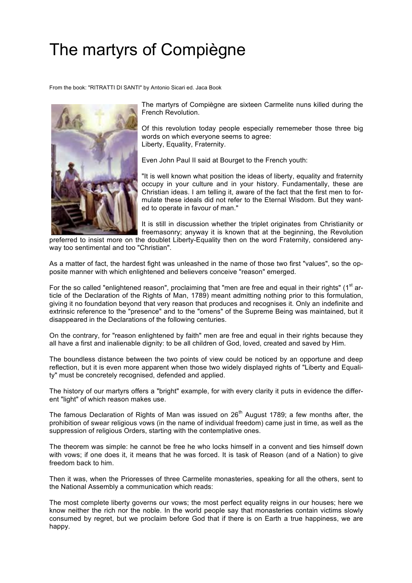## The martyrs of Compiègne

From the book: "RITRATTI DI SANTI" by Antonio Sicari ed. Jaca Book



The martyrs of Compiègne are sixteen Carmelite nuns killed during the French Revolution.

Of this revolution today people especially rememeber those three big words on which everyone seems to agree: Liberty, Equality, Fraternity.

Even John Paul II said at Bourget to the French youth:

"It is well known what position the ideas of liberty, equality and fraternity occupy in your culture and in your history. Fundamentally, these are Christian ideas. I am telling it, aware of the fact that the first men to formulate these ideals did not refer to the Eternal Wisdom. But they wanted to operate in favour of man."

It is still in discussion whether the triplet originates from Christianity or freemasonry; anyway it is known that at the beginning, the Revolution

preferred to insist more on the doublet Liberty-Equality then on the word Fraternity, considered anyway too sentimental and too "Christian".

As a matter of fact, the hardest fight was unleashed in the name of those two first "values", so the opposite manner with which enlightened and believers conceive "reason" emerged.

For the so called "enlightened reason", proclaiming that "men are free and equal in their rights" ( $1<sup>st</sup>$  article of the Declaration of the Rights of Man, 1789) meant admitting nothing prior to this formulation, giving it no foundation beyond that very reason that produces and recognises it. Only an indefinite and extrinsic reference to the "presence" and to the "omens" of the Supreme Being was maintained, but it disappeared in the Declarations of the following centuries.

On the contrary, for "reason enlightened by faith" men are free and equal in their rights because they all have a first and inalienable dignity: to be all children of God, loved, created and saved by Him.

The boundless distance between the two points of view could be noticed by an opportune and deep reflection, but it is even more apparent when those two widely displayed rights of "Liberty and Equality" must be concretely recognised, defended and applied.

The history of our martyrs offers a "bright" example, for with every clarity it puts in evidence the different "light" of which reason makes use.

The famous Declaration of Rights of Man was issued on  $26<sup>th</sup>$  August 1789; a few months after, the prohibition of swear religious vows (in the name of individual freedom) came just in time, as well as the suppression of religious Orders, starting with the contemplative ones.

The theorem was simple: he cannot be free he who locks himself in a convent and ties himself down with vows; if one does it, it means that he was forced. It is task of Reason (and of a Nation) to give freedom back to him.

Then it was, when the Prioresses of three Carmelite monasteries, speaking for all the others, sent to the National Assembly a communication which reads:

The most complete liberty governs our vows; the most perfect equality reigns in our houses; here we know neither the rich nor the noble. In the world people say that monasteries contain victims slowly consumed by regret, but we proclaim before God that if there is on Earth a true happiness, we are happy.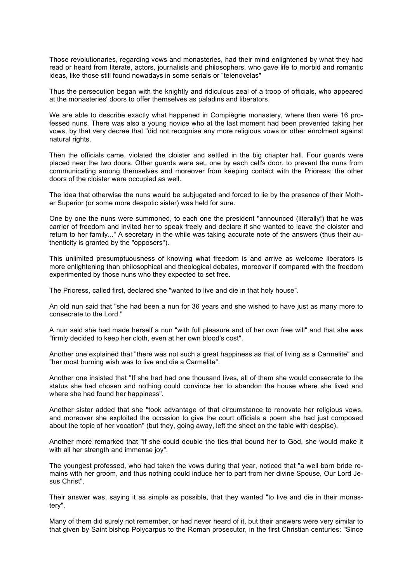Those revolutionaries, regarding vows and monasteries, had their mind enlightened by what they had read or heard from literate, actors, journalists and philosophers, who gave life to morbid and romantic ideas, like those still found nowadays in some serials or "telenovelas"

Thus the persecution began with the knightly and ridiculous zeal of a troop of officials, who appeared at the monasteries' doors to offer themselves as paladins and liberators.

We are able to describe exactly what happened in Compiègne monastery, where then were 16 professed nuns. There was also a young novice who at the last moment had been prevented taking her vows, by that very decree that "did not recognise any more religious vows or other enrolment against natural rights.

Then the officials came, violated the cloister and settled in the big chapter hall. Four guards were placed near the two doors. Other guards were set, one by each cell's door, to prevent the nuns from communicating among themselves and moreover from keeping contact with the Prioress; the other doors of the cloister were occupied as well.

The idea that otherwise the nuns would be subjugated and forced to lie by the presence of their Mother Superior (or some more despotic sister) was held for sure.

One by one the nuns were summoned, to each one the president "announced (literally!) that he was carrier of freedom and invited her to speak freely and declare if she wanted to leave the cloister and return to her family..." A secretary in the while was taking accurate note of the answers (thus their authenticity is granted by the "opposers").

This unlimited presumptuousness of knowing what freedom is and arrive as welcome liberators is more enlightening than philosophical and theological debates, moreover if compared with the freedom experimented by those nuns who they expected to set free.

The Prioress, called first, declared she "wanted to live and die in that holy house".

An old nun said that "she had been a nun for 36 years and she wished to have just as many more to consecrate to the Lord."

A nun said she had made herself a nun "with full pleasure and of her own free will" and that she was "firmly decided to keep her cloth, even at her own blood's cost".

Another one explained that "there was not such a great happiness as that of living as a Carmelite" and "her most burning wish was to live and die a Carmelite".

Another one insisted that "If she had had one thousand lives, all of them she would consecrate to the status she had chosen and nothing could convince her to abandon the house where she lived and where she had found her happiness".

Another sister added that she "took advantage of that circumstance to renovate her religious vows, and moreover she exploited the occasion to give the court officials a poem she had just composed about the topic of her vocation" (but they, going away, left the sheet on the table with despise).

Another more remarked that "if she could double the ties that bound her to God, she would make it with all her strength and immense joy".

The youngest professed, who had taken the vows during that year, noticed that "a well born bride remains with her groom, and thus nothing could induce her to part from her divine Spouse, Our Lord Jesus Christ".

Their answer was, saying it as simple as possible, that they wanted "to live and die in their monastery".

Many of them did surely not remember, or had never heard of it, but their answers were very similar to that given by Saint bishop Polycarpus to the Roman prosecutor, in the first Christian centuries: "Since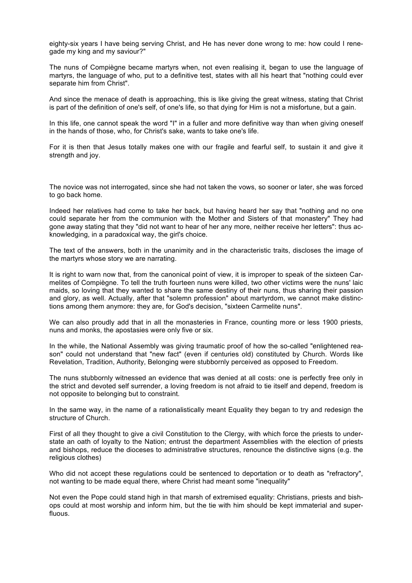eighty-six years I have being serving Christ, and He has never done wrong to me: how could I renegade my king and my saviour?"

The nuns of Compiègne became martyrs when, not even realising it, began to use the language of martyrs, the language of who, put to a definitive test, states with all his heart that "nothing could ever separate him from Christ".

And since the menace of death is approaching, this is like giving the great witness, stating that Christ is part of the definition of one's self, of one's life, so that dying for Him is not a misfortune, but a gain.

In this life, one cannot speak the word "I" in a fuller and more definitive way than when giving oneself in the hands of those, who, for Christ's sake, wants to take one's life.

For it is then that Jesus totally makes one with our fragile and fearful self, to sustain it and give it strength and joy.

The novice was not interrogated, since she had not taken the vows, so sooner or later, she was forced to go back home.

Indeed her relatives had come to take her back, but having heard her say that "nothing and no one could separate her from the communion with the Mother and Sisters of that monastery" They had gone away stating that they "did not want to hear of her any more, neither receive her letters": thus acknowledging, in a paradoxical way, the girl's choice.

The text of the answers, both in the unanimity and in the characteristic traits, discloses the image of the martyrs whose story we are narrating.

It is right to warn now that, from the canonical point of view, it is improper to speak of the sixteen Carmelites of Compiègne. To tell the truth fourteen nuns were killed, two other victims were the nuns' laic maids, so loving that they wanted to share the same destiny of their nuns, thus sharing their passion and glory, as well. Actually, after that "solemn profession" about martyrdom, we cannot make distinctions among them anymore: they are, for God's decision, "sixteen Carmelite nuns".

We can also proudly add that in all the monasteries in France, counting more or less 1900 priests, nuns and monks, the apostasies were only five or six.

In the while, the National Assembly was giving traumatic proof of how the so-called "enlightened reason" could not understand that "new fact" (even if centuries old) constituted by Church. Words like Revelation, Tradition, Authority, Belonging were stubbornly perceived as opposed to Freedom.

The nuns stubbornly witnessed an evidence that was denied at all costs: one is perfectly free only in the strict and devoted self surrender, a loving freedom is not afraid to tie itself and depend, freedom is not opposite to belonging but to constraint.

In the same way, in the name of a rationalistically meant Equality they began to try and redesign the structure of Church.

First of all they thought to give a civil Constitution to the Clergy, with which force the priests to understate an oath of loyalty to the Nation; entrust the department Assemblies with the election of priests and bishops, reduce the dioceses to administrative structures, renounce the distinctive signs (e.g. the religious clothes)

Who did not accept these regulations could be sentenced to deportation or to death as "refractory", not wanting to be made equal there, where Christ had meant some "inequality"

Not even the Pope could stand high in that marsh of extremised equality: Christians, priests and bishops could at most worship and inform him, but the tie with him should be kept immaterial and superfluous.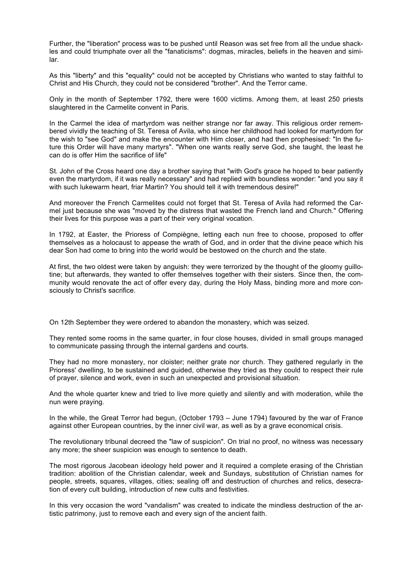Further, the "liberation" process was to be pushed until Reason was set free from all the undue shackles and could triumphate over all the "fanaticisms": dogmas, miracles, beliefs in the heaven and similar.

As this "liberty" and this "equality" could not be accepted by Christians who wanted to stay faithful to Christ and His Church, they could not be considered "brother". And the Terror came.

Only in the month of September 1792, there were 1600 victims. Among them, at least 250 priests slaughtered in the Carmelite convent in Paris.

In the Carmel the idea of martyrdom was neither strange nor far away. This religious order remembered vividly the teaching of St. Teresa of Avila, who since her childhood had looked for martyrdom for the wish to "see God" and make the encounter with Him closer, and had then prophesised: "In the future this Order will have many martyrs". "When one wants really serve God, she taught, the least he can do is offer Him the sacrifice of life"

St. John of the Cross heard one day a brother saying that "with God's grace he hoped to bear patiently even the martyrdom, if it was really necessary" and had replied with boundless wonder: "and you say it with such lukewarm heart, friar Martin? You should tell it with tremendous desire!"

And moreover the French Carmelites could not forget that St. Teresa of Avila had reformed the Carmel just because she was "moved by the distress that wasted the French land and Church." Offering their lives for this purpose was a part of their very original vocation.

In 1792, at Easter, the Prioress of Compiègne, letting each nun free to choose, proposed to offer themselves as a holocaust to appease the wrath of God, and in order that the divine peace which his dear Son had come to bring into the world would be bestowed on the church and the state.

At first, the two oldest were taken by anguish: they were terrorized by the thought of the gloomy guillotine; but afterwards, they wanted to offer themselves together with their sisters. Since then, the community would renovate the act of offer every day, during the Holy Mass, binding more and more consciously to Christ's sacrifice.

On 12th September they were ordered to abandon the monastery, which was seized.

They rented some rooms in the same quarter, in four close houses, divided in small groups managed to communicate passing through the internal gardens and courts.

They had no more monastery, nor cloister; neither grate nor church. They gathered regularly in the Prioress' dwelling, to be sustained and guided, otherwise they tried as they could to respect their rule of prayer, silence and work, even in such an unexpected and provisional situation.

And the whole quarter knew and tried to live more quietly and silently and with moderation, while the nun were praying.

In the while, the Great Terror had begun, (October 1793 – June 1794) favoured by the war of France against other European countries, by the inner civil war, as well as by a grave economical crisis.

The revolutionary tribunal decreed the "law of suspicion". On trial no proof, no witness was necessary any more; the sheer suspicion was enough to sentence to death.

The most rigorous Jacobean ideology held power and it required a complete erasing of the Christian tradition: abolition of the Christian calendar, week and Sundays, substitution of Christian names for people, streets, squares, villages, cities; sealing off and destruction of churches and relics, desecration of every cult building, introduction of new cults and festivities.

In this very occasion the word "vandalism" was created to indicate the mindless destruction of the artistic patrimony, just to remove each and every sign of the ancient faith.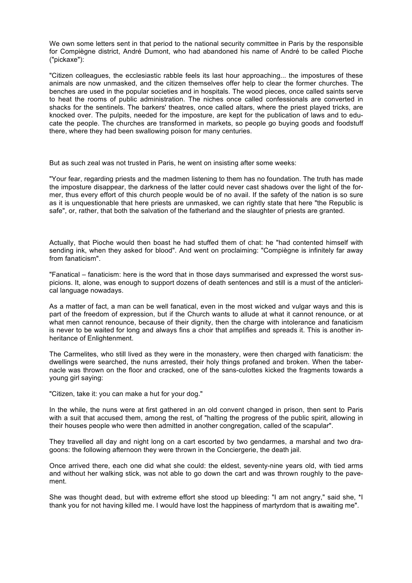We own some letters sent in that period to the national security committee in Paris by the responsible for Compiègne district, André Dumont, who had abandoned his name of André to be called Pioche ("pickaxe"):

"Citizen colleagues, the ecclesiastic rabble feels its last hour approaching... the impostures of these animals are now unmasked, and the citizen themselves offer help to clear the former churches. The benches are used in the popular societies and in hospitals. The wood pieces, once called saints serve to heat the rooms of public administration. The niches once called confessionals are converted in shacks for the sentinels. The barkers' theatres, once called altars, where the priest played tricks, are knocked over. The pulpits, needed for the imposture, are kept for the publication of laws and to educate the people. The churches are transformed in markets, so people go buying goods and foodstuff there, where they had been swallowing poison for many centuries.

But as such zeal was not trusted in Paris, he went on insisting after some weeks:

"Your fear, regarding priests and the madmen listening to them has no foundation. The truth has made the imposture disappear, the darkness of the latter could never cast shadows over the light of the former, thus every effort of this church people would be of no avail. If the safety of the nation is so sure as it is unquestionable that here priests are unmasked, we can rightly state that here "the Republic is safe", or, rather, that both the salvation of the fatherland and the slaughter of priests are granted.

Actually, that Pioche would then boast he had stuffed them of chat: he "had contented himself with sending ink, when they asked for blood". And went on proclaiming: "Compiègne is infinitely far away from fanaticism".

"Fanatical – fanaticism: here is the word that in those days summarised and expressed the worst suspicions. It, alone, was enough to support dozens of death sentences and still is a must of the anticlerical language nowadays.

As a matter of fact, a man can be well fanatical, even in the most wicked and vulgar ways and this is part of the freedom of expression, but if the Church wants to allude at what it cannot renounce, or at what men cannot renounce, because of their dignity, then the charge with intolerance and fanaticism is never to be waited for long and always fins a choir that amplifies and spreads it. This is another inheritance of Enlightenment.

The Carmelites, who still lived as they were in the monastery, were then charged with fanaticism: the dwellings were searched, the nuns arrested, their holy things profaned and broken. When the tabernacle was thrown on the floor and cracked, one of the sans-culottes kicked the fragments towards a young girl saying:

"Citizen, take it: you can make a hut for your dog."

In the while, the nuns were at first gathered in an old convent changed in prison, then sent to Paris with a suit that accused them, among the rest, of "halting the progress of the public spirit, allowing in their houses people who were then admitted in another congregation, called of the scapular".

They travelled all day and night long on a cart escorted by two gendarmes, a marshal and two dragoons: the following afternoon they were thrown in the Conciergerie, the death jail.

Once arrived there, each one did what she could: the eldest, seventy-nine years old, with tied arms and without her walking stick, was not able to go down the cart and was thrown roughly to the pavement.

She was thought dead, but with extreme effort she stood up bleeding: "I am not angry," said she, \*I thank you for not having killed me. I would have lost the happiness of martyrdom that is awaiting me".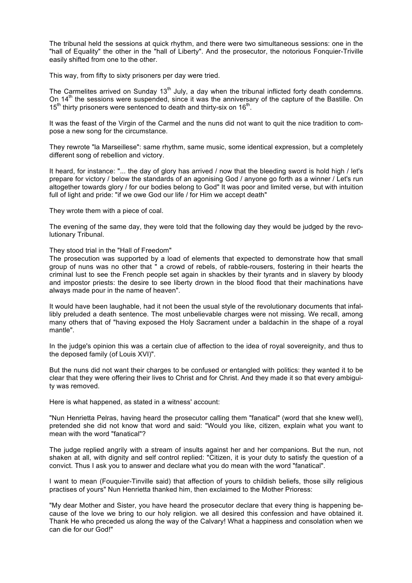The tribunal held the sessions at quick rhythm, and there were two simultaneous sessions: one in the "hall of Equality" the other in the "hall of Liberty". And the prosecutor, the notorious Fonquier-Triville easily shifted from one to the other.

This way, from fifty to sixty prisoners per day were tried.

The Carmelites arrived on Sunday  $13<sup>th</sup>$  July, a day when the tribunal inflicted forty death condemns. On  $14<sup>th</sup>$  the sessions were suspended, since it was the anniversary of the capture of the Bastille. On  $15<sup>th</sup>$  thirty prisoners were sentenced to death and thirty-six on 16<sup>th</sup>.

It was the feast of the Virgin of the Carmel and the nuns did not want to quit the nice tradition to compose a new song for the circumstance.

They rewrote "la Marseillese": same rhythm, same music, some identical expression, but a completely different song of rebellion and victory.

It heard, for instance: "... the day of glory has arrived / now that the bleeding sword is hold high / let's prepare for victory / below the standards of an agonising God / anyone go forth as a winner / Let's run altogether towards glory / for our bodies belong to God" It was poor and limited verse, but with intuition full of light and pride: "if we owe God our life / for Him we accept death"

They wrote them with a piece of coal.

The evening of the same day, they were told that the following day they would be judged by the revolutionary Tribunal.

## They stood trial in the "Hall of Freedom"

The prosecution was supported by a load of elements that expected to demonstrate how that small group of nuns was no other that " a crowd of rebels, of rabble-rousers, fostering in their hearts the criminal lust to see the French people set again in shackles by their tyrants and in slavery by bloody and impostor priests: the desire to see liberty drown in the blood flood that their machinations have always made pour in the name of heaven".

It would have been laughable, had it not been the usual style of the revolutionary documents that infallibly preluded a death sentence. The most unbelievable charges were not missing. We recall, among many others that of "having exposed the Holy Sacrament under a baldachin in the shape of a royal mantle".

In the judge's opinion this was a certain clue of affection to the idea of royal sovereignity, and thus to the deposed family (of Louis XVI)".

But the nuns did not want their charges to be confused or entangled with politics: they wanted it to be clear that they were offering their lives to Christ and for Christ. And they made it so that every ambiguity was removed.

Here is what happened, as stated in a witness' account:

"Nun Henrietta Pelras, having heard the prosecutor calling them "fanatical" (word that she knew well), pretended she did not know that word and said: "Would you like, citizen, explain what you want to mean with the word "fanatical"?

The judge replied angrily with a stream of insults against her and her companions. But the nun, not shaken at all, with dignity and self control replied: "Citizen, it is your duty to satisfy the question of a convict. Thus I ask you to answer and declare what you do mean with the word "fanatical".

I want to mean (Fouquier-Tinville said) that affection of yours to childish beliefs, those silly religious practises of yours" Nun Henrietta thanked him, then exclaimed to the Mother Prioress:

"My dear Mother and Sister, you have heard the prosecutor declare that every thing is happening because of the love we bring to our holy religion. we all desired this confession and have obtained it. Thank He who preceded us along the way of the Calvary! What a happiness and consolation when we can die for our God!"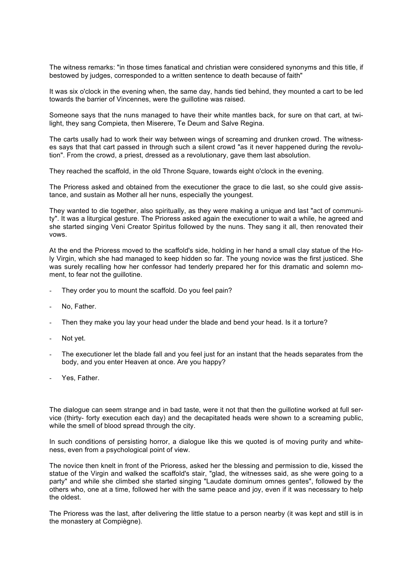The witness remarks: "in those times fanatical and christian were considered synonyms and this title, if bestowed by judges, corresponded to a written sentence to death because of faith"

It was six o'clock in the evening when, the same day, hands tied behind, they mounted a cart to be led towards the barrier of Vincennes, were the guillotine was raised.

Someone says that the nuns managed to have their white mantles back, for sure on that cart, at twilight, they sang Compieta, then Miserere, Te Deum and Salve Regina.

The carts usally had to work their way between wings of screaming and drunken crowd. The witnesses says that that cart passed in through such a silent crowd "as it never happened during the revolution". From the crowd, a priest, dressed as a revolutionary, gave them last absolution.

They reached the scaffold, in the old Throne Square, towards eight o'clock in the evening.

The Prioress asked and obtained from the executioner the grace to die last, so she could give assistance, and sustain as Mother all her nuns, especially the youngest.

They wanted to die together, also spiritually, as they were making a unique and last "act of community". It was a liturgical gesture. The Prioress asked again the executioner to wait a while, he agreed and she started singing Veni Creator Spiritus followed by the nuns. They sang it all, then renovated their vows.

At the end the Prioress moved to the scaffold's side, holding in her hand a small clay statue of the Holy Virgin, which she had managed to keep hidden so far. The young novice was the first justiced. She was surely recalling how her confessor had tenderly prepared her for this dramatic and solemn moment, to fear not the guillotine.

- They order you to mount the scaffold. Do you feel pain?
- No, Father.
- Then they make you lay your head under the blade and bend your head. Is it a torture?
- Not yet.
- The executioner let the blade fall and you feel just for an instant that the heads separates from the body, and you enter Heaven at once. Are you happy?
- Yes, Father.

The dialogue can seem strange and in bad taste, were it not that then the guillotine worked at full service (thirty- forty execution each day) and the decapitated heads were shown to a screaming public, while the smell of blood spread through the city.

In such conditions of persisting horror, a dialogue like this we quoted is of moving purity and whiteness, even from a psychological point of view.

The novice then knelt in front of the Prioress, asked her the blessing and permission to die, kissed the statue of the Virgin and walked the scaffold's stair, "glad, the witnesses said, as she were going to a party" and while she climbed she started singing "Laudate dominum omnes gentes", followed by the others who, one at a time, followed her with the same peace and joy, even if it was necessary to help the oldest.

The Prioress was the last, after delivering the little statue to a person nearby (it was kept and still is in the monastery at Compiègne).